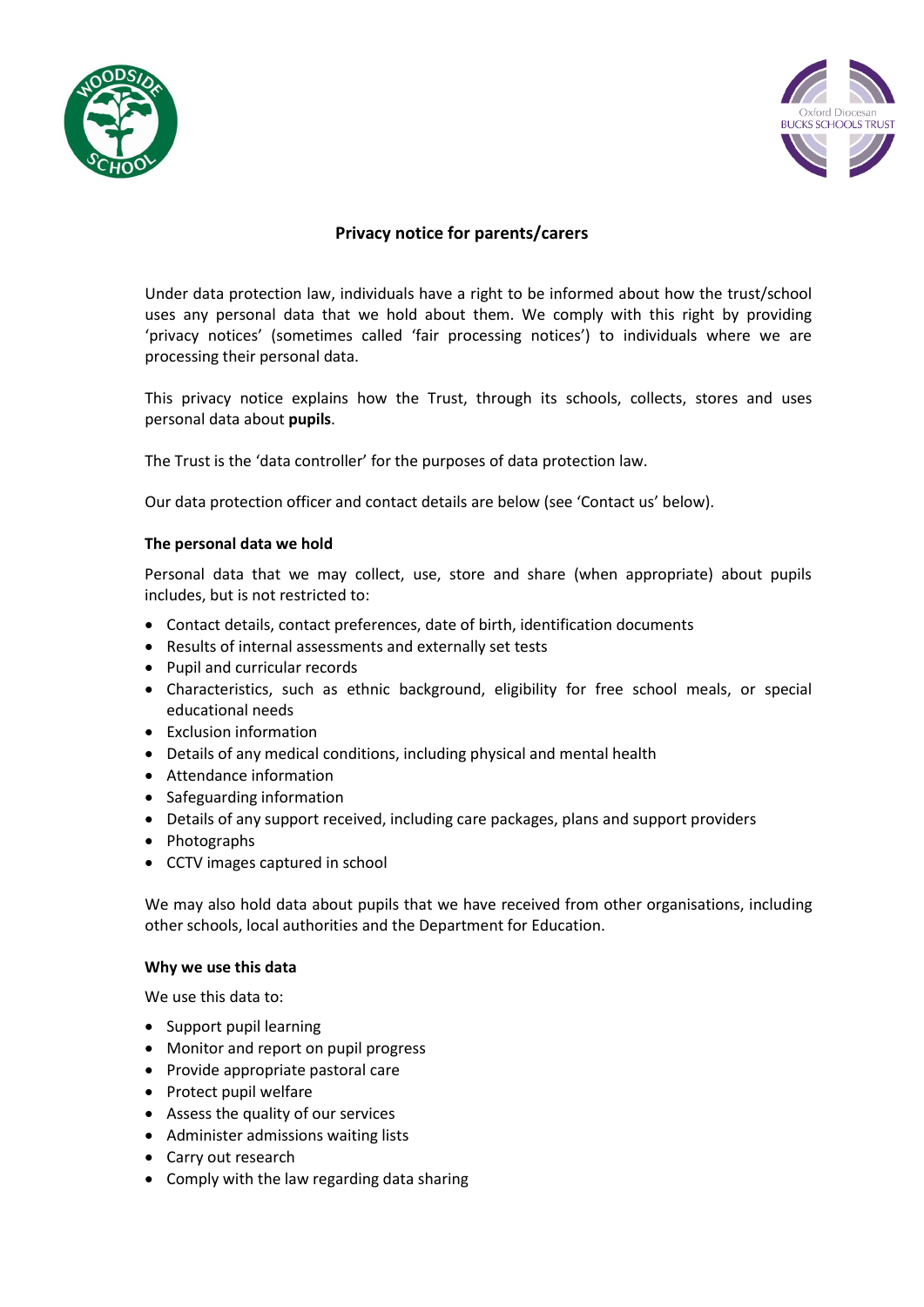



# **Privacy notice for parents/carers**

Under data protection law, individuals have a right to be informed about how the trust/school uses any personal data that we hold about them. We comply with this right by providing 'privacy notices' (sometimes called 'fair processing notices') to individuals where we are processing their personal data.

This privacy notice explains how the Trust, through its schools, collects, stores and uses personal data about **pupils**.

The Trust is the 'data controller' for the purposes of data protection law.

Our data protection officer and contact details are below (see 'Contact us' below).

# **The personal data we hold**

Personal data that we may collect, use, store and share (when appropriate) about pupils includes, but is not restricted to:

- Contact details, contact preferences, date of birth, identification documents
- Results of internal assessments and externally set tests
- Pupil and curricular records
- Characteristics, such as ethnic background, eligibility for free school meals, or special educational needs
- Exclusion information
- Details of any medical conditions, including physical and mental health
- Attendance information
- Safeguarding information
- Details of any support received, including care packages, plans and support providers
- Photographs
- CCTV images captured in school

We may also hold data about pupils that we have received from other organisations, including other schools, local authorities and the Department for Education.

# **Why we use this data**

We use this data to:

- Support pupil learning
- Monitor and report on pupil progress
- Provide appropriate pastoral care
- Protect pupil welfare
- Assess the quality of our services
- Administer admissions waiting lists
- Carry out research
- Comply with the law regarding data sharing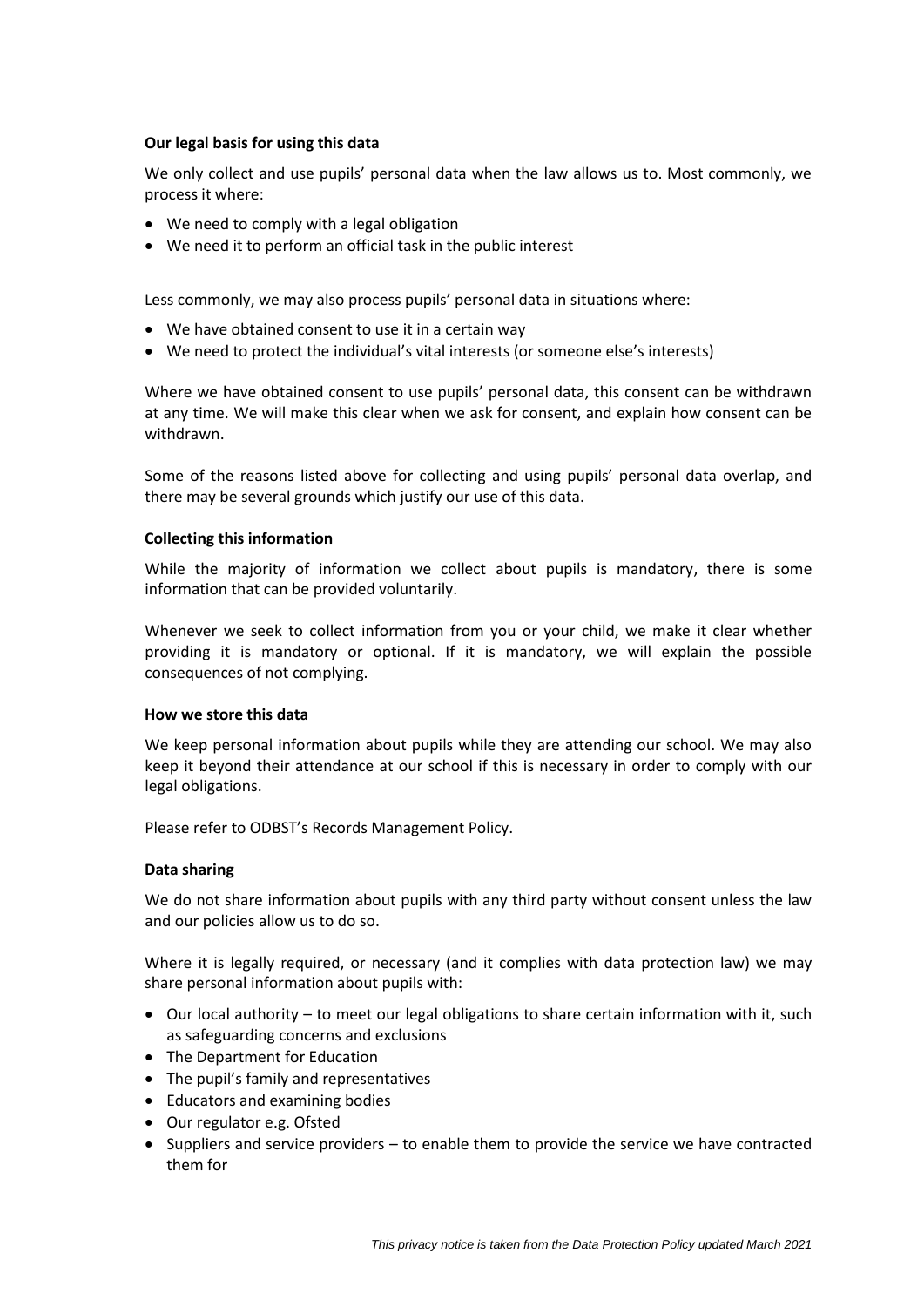# **Our legal basis for using this data**

We only collect and use pupils' personal data when the law allows us to. Most commonly, we process it where:

- We need to comply with a legal obligation
- We need it to perform an official task in the public interest

Less commonly, we may also process pupils' personal data in situations where:

- We have obtained consent to use it in a certain way
- We need to protect the individual's vital interests (or someone else's interests)

Where we have obtained consent to use pupils' personal data, this consent can be withdrawn at any time. We will make this clear when we ask for consent, and explain how consent can be withdrawn.

Some of the reasons listed above for collecting and using pupils' personal data overlap, and there may be several grounds which justify our use of this data.

### **Collecting this information**

While the majority of information we collect about pupils is mandatory, there is some information that can be provided voluntarily.

Whenever we seek to collect information from you or your child, we make it clear whether providing it is mandatory or optional. If it is mandatory, we will explain the possible consequences of not complying.

#### **How we store this data**

We keep personal information about pupils while they are attending our school. We may also keep it beyond their attendance at our school if this is necessary in order to comply with our legal obligations.

Please refer to ODBST's Records Management Policy.

# **Data sharing**

We do not share information about pupils with any third party without consent unless the law and our policies allow us to do so.

Where it is legally required, or necessary (and it complies with data protection law) we may share personal information about pupils with:

- $\bullet$  Our local authority to meet our legal obligations to share certain information with it, such as safeguarding concerns and exclusions
- The Department for Education
- The pupil's family and representatives
- Educators and examining bodies
- Our regulator e.g. Ofsted
- Suppliers and service providers to enable them to provide the service we have contracted them for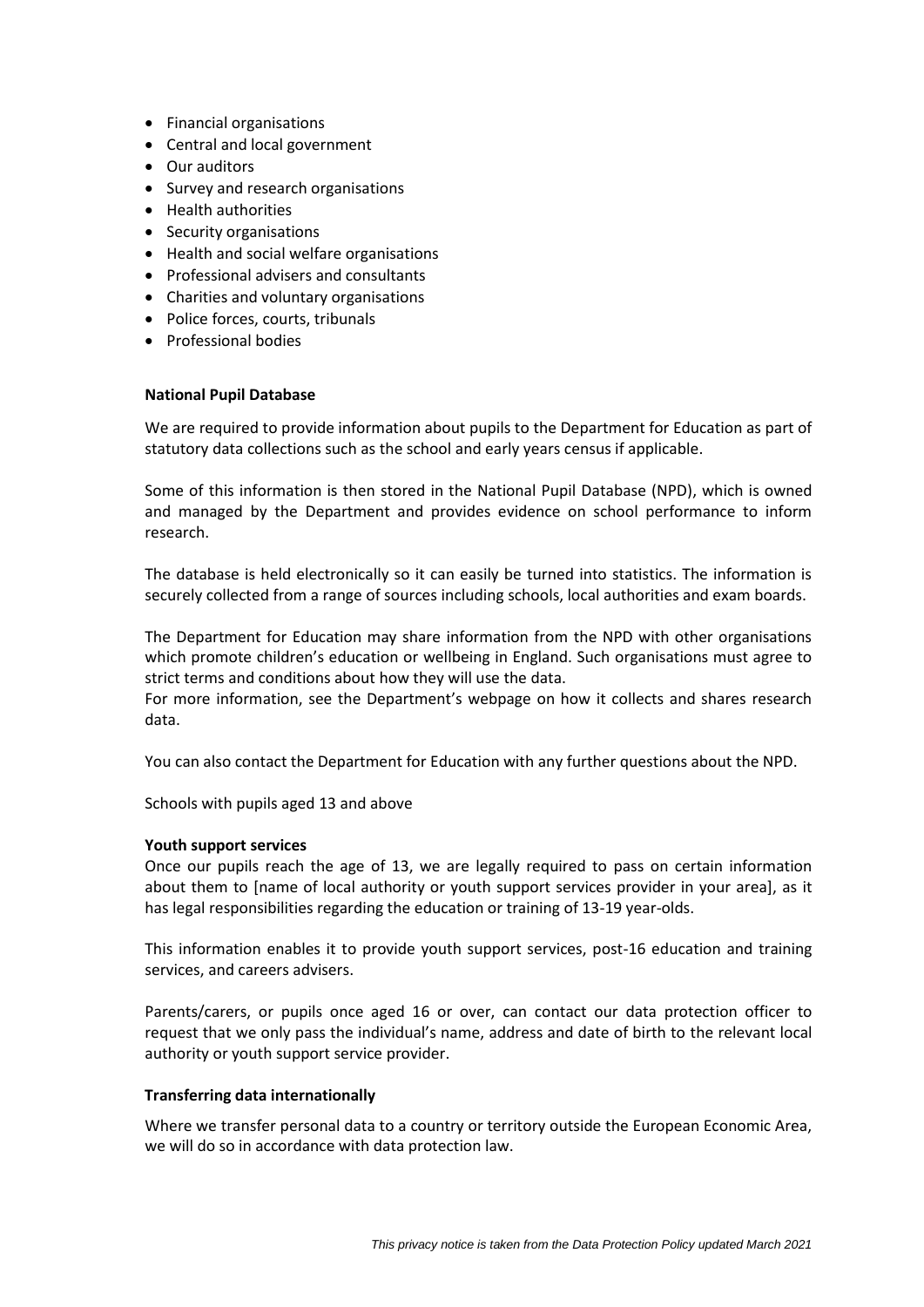- Financial organisations
- Central and local government
- Our auditors
- Survey and research organisations
- Health authorities
- Security organisations
- Health and social welfare organisations
- Professional advisers and consultants
- Charities and voluntary organisations
- Police forces, courts, tribunals
- Professional bodies

# **National Pupil Database**

We are required to provide information about pupils to the Department for Education as part of statutory data collections such as the school and early years census if applicable.

Some of this information is then stored in the National Pupil Database (NPD), which is owned and managed by the Department and provides evidence on school performance to inform research.

The database is held electronically so it can easily be turned into statistics. The information is securely collected from a range of sources including schools, local authorities and exam boards.

The Department for Education may share information from the NPD with other organisations which promote children's education or wellbeing in England. Such organisations must agree to strict terms and conditions about how they will use the data.

For more information, see the Department's webpage on how it collects and shares research data.

You can also contact the Department for Education with any further questions about the NPD.

Schools with pupils aged 13 and above

#### **Youth support services**

Once our pupils reach the age of 13, we are legally required to pass on certain information about them to [name of local authority or youth support services provider in your area], as it has legal responsibilities regarding the education or training of 13-19 year-olds.

This information enables it to provide youth support services, post-16 education and training services, and careers advisers.

Parents/carers, or pupils once aged 16 or over, can contact our data protection officer to request that we only pass the individual's name, address and date of birth to the relevant local authority or youth support service provider.

# **Transferring data internationally**

Where we transfer personal data to a country or territory outside the European Economic Area, we will do so in accordance with data protection law.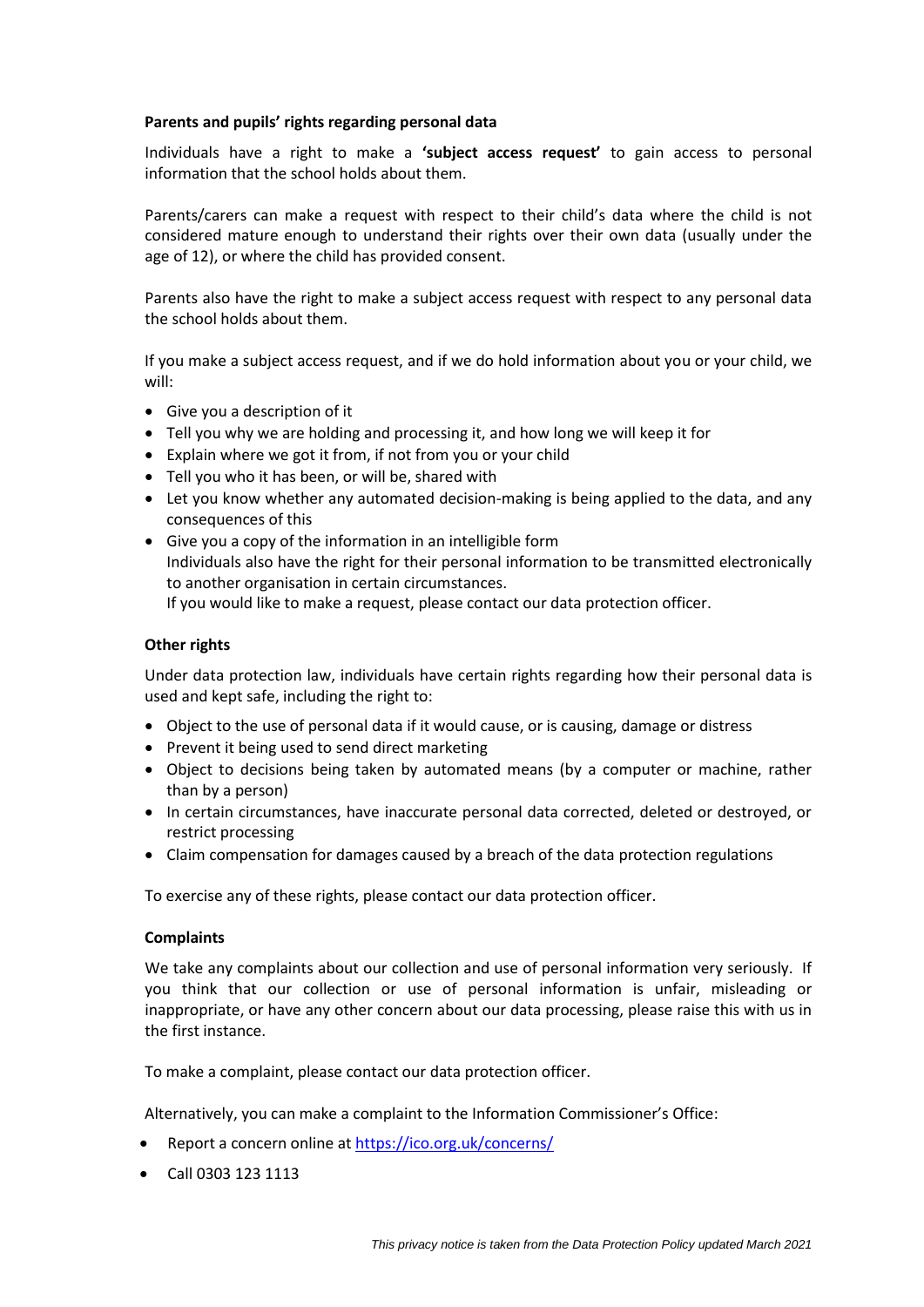### **Parents and pupils' rights regarding personal data**

Individuals have a right to make a **'subject access request'** to gain access to personal information that the school holds about them.

Parents/carers can make a request with respect to their child's data where the child is not considered mature enough to understand their rights over their own data (usually under the age of 12), or where the child has provided consent.

Parents also have the right to make a subject access request with respect to any personal data the school holds about them.

If you make a subject access request, and if we do hold information about you or your child, we will:

- Give you a description of it
- Tell you why we are holding and processing it, and how long we will keep it for
- Explain where we got it from, if not from you or your child
- Tell you who it has been, or will be, shared with
- Let you know whether any automated decision-making is being applied to the data, and any consequences of this
- Give you a copy of the information in an intelligible form Individuals also have the right for their personal information to be transmitted electronically to another organisation in certain circumstances. If you would like to make a request, please contact our data protection officer.

# **Other rights**

Under data protection law, individuals have certain rights regarding how their personal data is used and kept safe, including the right to:

- Object to the use of personal data if it would cause, or is causing, damage or distress
- Prevent it being used to send direct marketing
- Object to decisions being taken by automated means (by a computer or machine, rather than by a person)
- In certain circumstances, have inaccurate personal data corrected, deleted or destroyed, or restrict processing
- Claim compensation for damages caused by a breach of the data protection regulations

To exercise any of these rights, please contact our data protection officer.

# **Complaints**

We take any complaints about our collection and use of personal information very seriously. If you think that our collection or use of personal information is unfair, misleading or inappropriate, or have any other concern about our data processing, please raise this with us in the first instance.

To make a complaint, please contact our data protection officer.

Alternatively, you can make a complaint to the Information Commissioner's Office:

- Report a concern online at<https://ico.org.uk/concerns/>
- Call 0303 123 1113